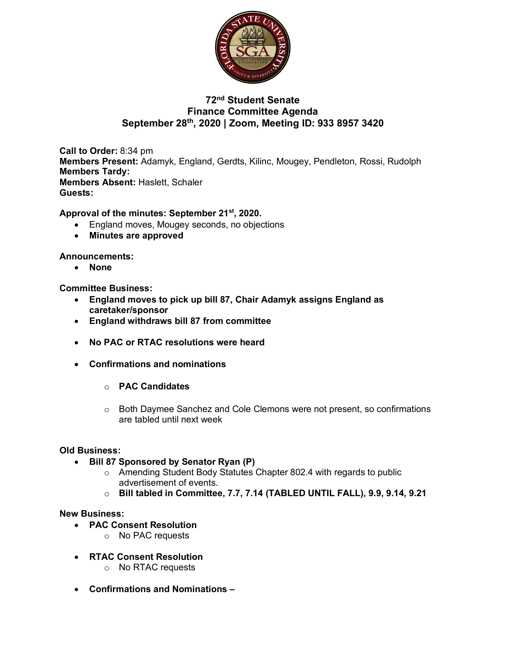

## **72nd Student Senate Finance Committee Agenda September 28th, 2020 | Zoom, Meeting ID: 933 8957 3420**

**Call to Order:** 8:34 pm **Members Present:** Adamyk, England, Gerdts, Kilinc, Mougey, Pendleton, Rossi, Rudolph **Members Tardy: Members Absent:** Haslett, Schaler **Guests:** 

## **Approval of the minutes: September 21st, 2020.**

- England moves, Mougey seconds, no objections
- **Minutes are approved**

### **Announcements:**

• **None**

**Committee Business:** 

- **England moves to pick up bill 87, Chair Adamyk assigns England as caretaker/sponsor**
- **England withdraws bill 87 from committee**
- **No PAC or RTAC resolutions were heard**
- **Confirmations and nominations**
	- o **PAC Candidates**
	- o Both Daymee Sanchez and Cole Clemons were not present, so confirmations are tabled until next week

### **Old Business:**

- **Bill 87 Sponsored by Senator Ryan (P)**
	- o Amending Student Body Statutes Chapter 802.4 with regards to public advertisement of events.
	- o **Bill tabled in Committee, 7.7, 7.14 (TABLED UNTIL FALL), 9.9, 9.14, 9.21**

#### **New Business:**

- **PAC Consent Resolution**
	- o No PAC requests
- **RTAC Consent Resolution**
	- o No RTAC requests
- **Confirmations and Nominations –**